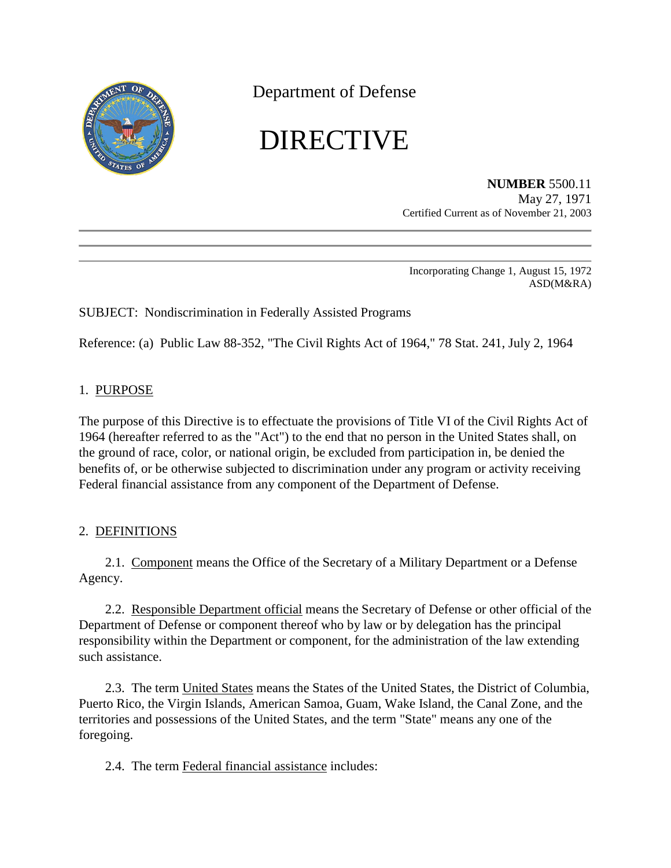

Department of Defense

# DIRECTIVE

**NUMBER** 5500.11 May 27, 1971 Certified Current as of November 21, 2003

Incorporating Change 1, August 15, 1972 ASD(M&RA)

# SUBJECT: Nondiscrimination in Federally Assisted Programs

Reference: (a) Public Law 88-352, "The Civil Rights Act of 1964," 78 Stat. 241, July 2, 1964

## 1. PURPOSE

The purpose of this Directive is to effectuate the provisions of Title VI of the Civil Rights Act of 1964 (hereafter referred to as the "Act") to the end that no person in the United States shall, on the ground of race, color, or national origin, be excluded from participation in, be denied the benefits of, or be otherwise subjected to discrimination under any program or activity receiving Federal financial assistance from any component of the Department of Defense.

## 2. DEFINITIONS

2.1. Component means the Office of the Secretary of a Military Department or a Defense Agency.

2.2. Responsible Department official means the Secretary of Defense or other official of the Department of Defense or component thereof who by law or by delegation has the principal responsibility within the Department or component, for the administration of the law extending such assistance.

2.3. The term United States means the States of the United States, the District of Columbia, Puerto Rico, the Virgin Islands, American Samoa, Guam, Wake Island, the Canal Zone, and the territories and possessions of the United States, and the term "State" means any one of the foregoing.

2.4. The term Federal financial assistance includes: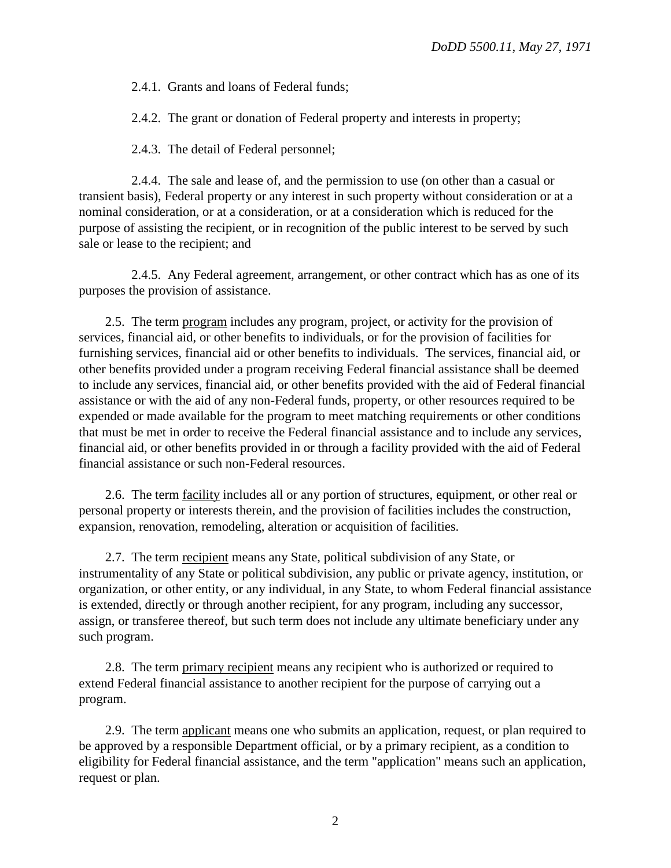2.4.1. Grants and loans of Federal funds;

2.4.2. The grant or donation of Federal property and interests in property;

2.4.3. The detail of Federal personnel;

2.4.4. The sale and lease of, and the permission to use (on other than a casual or transient basis), Federal property or any interest in such property without consideration or at a nominal consideration, or at a consideration, or at a consideration which is reduced for the purpose of assisting the recipient, or in recognition of the public interest to be served by such sale or lease to the recipient; and

2.4.5. Any Federal agreement, arrangement, or other contract which has as one of its purposes the provision of assistance.

2.5. The term program includes any program, project, or activity for the provision of services, financial aid, or other benefits to individuals, or for the provision of facilities for furnishing services, financial aid or other benefits to individuals. The services, financial aid, or other benefits provided under a program receiving Federal financial assistance shall be deemed to include any services, financial aid, or other benefits provided with the aid of Federal financial assistance or with the aid of any non-Federal funds, property, or other resources required to be expended or made available for the program to meet matching requirements or other conditions that must be met in order to receive the Federal financial assistance and to include any services, financial aid, or other benefits provided in or through a facility provided with the aid of Federal financial assistance or such non-Federal resources.

2.6. The term facility includes all or any portion of structures, equipment, or other real or personal property or interests therein, and the provision of facilities includes the construction, expansion, renovation, remodeling, alteration or acquisition of facilities.

2.7. The term recipient means any State, political subdivision of any State, or instrumentality of any State or political subdivision, any public or private agency, institution, or organization, or other entity, or any individual, in any State, to whom Federal financial assistance is extended, directly or through another recipient, for any program, including any successor, assign, or transferee thereof, but such term does not include any ultimate beneficiary under any such program.

2.8. The term primary recipient means any recipient who is authorized or required to extend Federal financial assistance to another recipient for the purpose of carrying out a program.

2.9. The term applicant means one who submits an application, request, or plan required to be approved by a responsible Department official, or by a primary recipient, as a condition to eligibility for Federal financial assistance, and the term "application" means such an application, request or plan.

2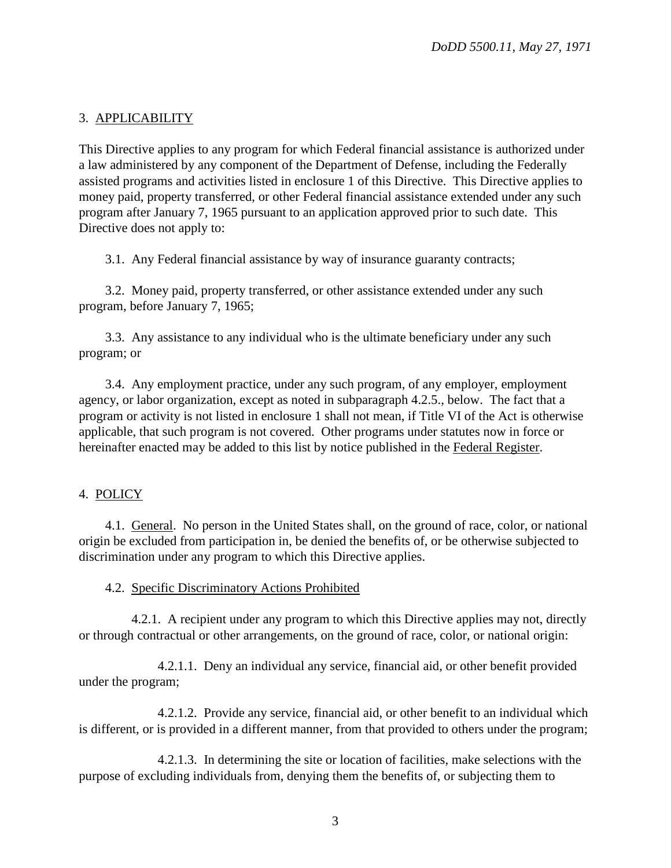## 3. APPLICABILITY

This Directive applies to any program for which Federal financial assistance is authorized under a law administered by any component of the Department of Defense, including the Federally assisted programs and activities listed in enclosure 1 of this Directive. This Directive applies to money paid, property transferred, or other Federal financial assistance extended under any such program after January 7, 1965 pursuant to an application approved prior to such date. This Directive does not apply to:

3.1. Any Federal financial assistance by way of insurance guaranty contracts;

3.2. Money paid, property transferred, or other assistance extended under any such program, before January 7, 1965;

3.3. Any assistance to any individual who is the ultimate beneficiary under any such program; or

3.4. Any employment practice, under any such program, of any employer, employment agency, or labor organization, except as noted in subparagraph 4.2.5., below. The fact that a program or activity is not listed in enclosure 1 shall not mean, if Title VI of the Act is otherwise applicable, that such program is not covered. Other programs under statutes now in force or hereinafter enacted may be added to this list by notice published in the Federal Register.

# 4. POLICY

4.1. General. No person in the United States shall, on the ground of race, color, or national origin be excluded from participation in, be denied the benefits of, or be otherwise subjected to discrimination under any program to which this Directive applies.

## 4.2. Specific Discriminatory Actions Prohibited

4.2.1. A recipient under any program to which this Directive applies may not, directly or through contractual or other arrangements, on the ground of race, color, or national origin:

4.2.1.1. Deny an individual any service, financial aid, or other benefit provided under the program;

4.2.1.2. Provide any service, financial aid, or other benefit to an individual which is different, or is provided in a different manner, from that provided to others under the program;

4.2.1.3. In determining the site or location of facilities, make selections with the purpose of excluding individuals from, denying them the benefits of, or subjecting them to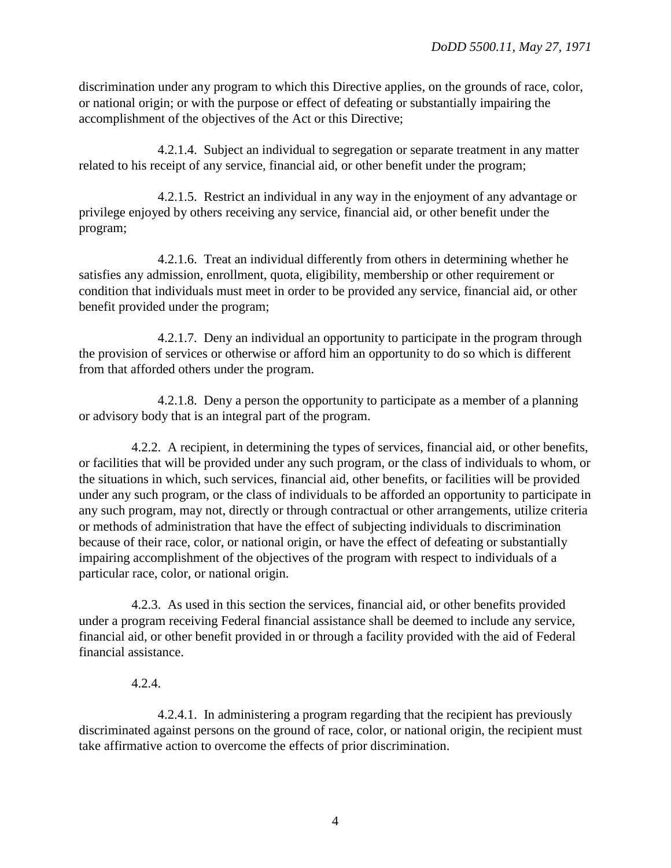discrimination under any program to which this Directive applies, on the grounds of race, color, or national origin; or with the purpose or effect of defeating or substantially impairing the accomplishment of the objectives of the Act or this Directive;

4.2.1.4. Subject an individual to segregation or separate treatment in any matter related to his receipt of any service, financial aid, or other benefit under the program;

4.2.1.5. Restrict an individual in any way in the enjoyment of any advantage or privilege enjoyed by others receiving any service, financial aid, or other benefit under the program;

4.2.1.6. Treat an individual differently from others in determining whether he satisfies any admission, enrollment, quota, eligibility, membership or other requirement or condition that individuals must meet in order to be provided any service, financial aid, or other benefit provided under the program;

4.2.1.7. Deny an individual an opportunity to participate in the program through the provision of services or otherwise or afford him an opportunity to do so which is different from that afforded others under the program.

4.2.1.8. Deny a person the opportunity to participate as a member of a planning or advisory body that is an integral part of the program.

4.2.2. A recipient, in determining the types of services, financial aid, or other benefits, or facilities that will be provided under any such program, or the class of individuals to whom, or the situations in which, such services, financial aid, other benefits, or facilities will be provided under any such program, or the class of individuals to be afforded an opportunity to participate in any such program, may not, directly or through contractual or other arrangements, utilize criteria or methods of administration that have the effect of subjecting individuals to discrimination because of their race, color, or national origin, or have the effect of defeating or substantially impairing accomplishment of the objectives of the program with respect to individuals of a particular race, color, or national origin.

4.2.3. As used in this section the services, financial aid, or other benefits provided under a program receiving Federal financial assistance shall be deemed to include any service, financial aid, or other benefit provided in or through a facility provided with the aid of Federal financial assistance.

## 4.2.4.

4.2.4.1. In administering a program regarding that the recipient has previously discriminated against persons on the ground of race, color, or national origin, the recipient must take affirmative action to overcome the effects of prior discrimination.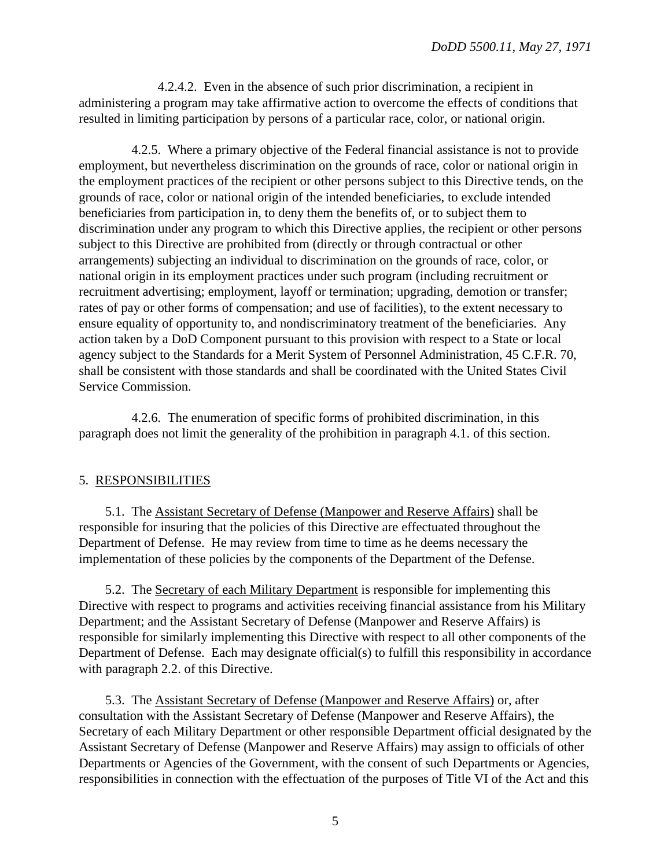4.2.4.2. Even in the absence of such prior discrimination, a recipient in administering a program may take affirmative action to overcome the effects of conditions that resulted in limiting participation by persons of a particular race, color, or national origin.

4.2.5. Where a primary objective of the Federal financial assistance is not to provide employment, but nevertheless discrimination on the grounds of race, color or national origin in the employment practices of the recipient or other persons subject to this Directive tends, on the grounds of race, color or national origin of the intended beneficiaries, to exclude intended beneficiaries from participation in, to deny them the benefits of, or to subject them to discrimination under any program to which this Directive applies, the recipient or other persons subject to this Directive are prohibited from (directly or through contractual or other arrangements) subjecting an individual to discrimination on the grounds of race, color, or national origin in its employment practices under such program (including recruitment or recruitment advertising; employment, layoff or termination; upgrading, demotion or transfer; rates of pay or other forms of compensation; and use of facilities), to the extent necessary to ensure equality of opportunity to, and nondiscriminatory treatment of the beneficiaries. Any action taken by a DoD Component pursuant to this provision with respect to a State or local agency subject to the Standards for a Merit System of Personnel Administration, 45 C.F.R. 70, shall be consistent with those standards and shall be coordinated with the United States Civil Service Commission.

4.2.6. The enumeration of specific forms of prohibited discrimination, in this paragraph does not limit the generality of the prohibition in paragraph 4.1. of this section.

## 5. RESPONSIBILITIES

5.1. The Assistant Secretary of Defense (Manpower and Reserve Affairs) shall be responsible for insuring that the policies of this Directive are effectuated throughout the Department of Defense. He may review from time to time as he deems necessary the implementation of these policies by the components of the Department of the Defense.

5.2. The Secretary of each Military Department is responsible for implementing this Directive with respect to programs and activities receiving financial assistance from his Military Department; and the Assistant Secretary of Defense (Manpower and Reserve Affairs) is responsible for similarly implementing this Directive with respect to all other components of the Department of Defense. Each may designate official(s) to fulfill this responsibility in accordance with paragraph 2.2. of this Directive.

5.3. The Assistant Secretary of Defense (Manpower and Reserve Affairs) or, after consultation with the Assistant Secretary of Defense (Manpower and Reserve Affairs), the Secretary of each Military Department or other responsible Department official designated by the Assistant Secretary of Defense (Manpower and Reserve Affairs) may assign to officials of other Departments or Agencies of the Government, with the consent of such Departments or Agencies, responsibilities in connection with the effectuation of the purposes of Title VI of the Act and this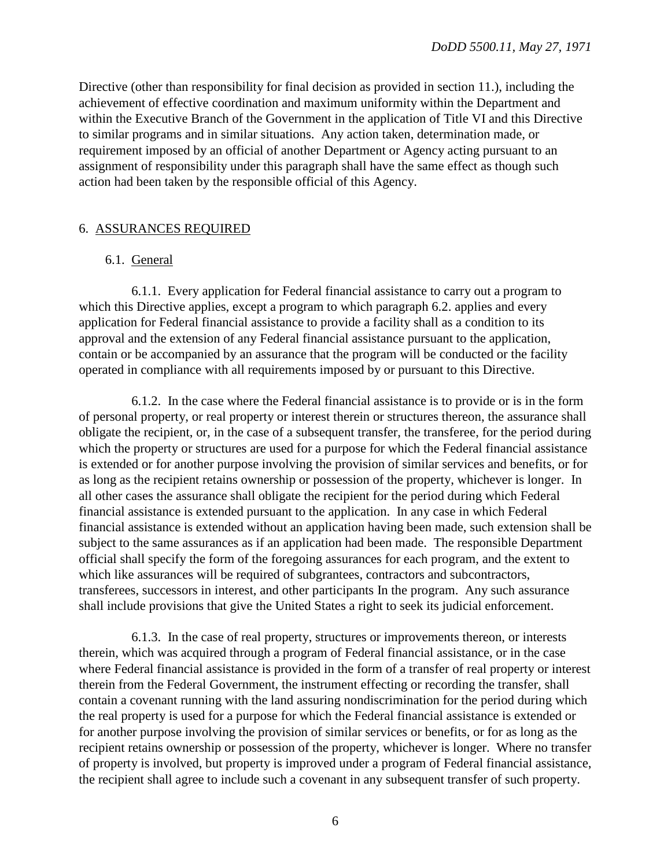Directive (other than responsibility for final decision as provided in section 11.), including the achievement of effective coordination and maximum uniformity within the Department and within the Executive Branch of the Government in the application of Title VI and this Directive to similar programs and in similar situations. Any action taken, determination made, or requirement imposed by an official of another Department or Agency acting pursuant to an assignment of responsibility under this paragraph shall have the same effect as though such action had been taken by the responsible official of this Agency.

## 6. ASSURANCES REQUIRED

## 6.1. General

6.1.1. Every application for Federal financial assistance to carry out a program to which this Directive applies, except a program to which paragraph 6.2. applies and every application for Federal financial assistance to provide a facility shall as a condition to its approval and the extension of any Federal financial assistance pursuant to the application, contain or be accompanied by an assurance that the program will be conducted or the facility operated in compliance with all requirements imposed by or pursuant to this Directive.

6.1.2. In the case where the Federal financial assistance is to provide or is in the form of personal property, or real property or interest therein or structures thereon, the assurance shall obligate the recipient, or, in the case of a subsequent transfer, the transferee, for the period during which the property or structures are used for a purpose for which the Federal financial assistance is extended or for another purpose involving the provision of similar services and benefits, or for as long as the recipient retains ownership or possession of the property, whichever is longer. In all other cases the assurance shall obligate the recipient for the period during which Federal financial assistance is extended pursuant to the application. In any case in which Federal financial assistance is extended without an application having been made, such extension shall be subject to the same assurances as if an application had been made. The responsible Department official shall specify the form of the foregoing assurances for each program, and the extent to which like assurances will be required of subgrantees, contractors and subcontractors, transferees, successors in interest, and other participants In the program. Any such assurance shall include provisions that give the United States a right to seek its judicial enforcement.

6.1.3. In the case of real property, structures or improvements thereon, or interests therein, which was acquired through a program of Federal financial assistance, or in the case where Federal financial assistance is provided in the form of a transfer of real property or interest therein from the Federal Government, the instrument effecting or recording the transfer, shall contain a covenant running with the land assuring nondiscrimination for the period during which the real property is used for a purpose for which the Federal financial assistance is extended or for another purpose involving the provision of similar services or benefits, or for as long as the recipient retains ownership or possession of the property, whichever is longer. Where no transfer of property is involved, but property is improved under a program of Federal financial assistance, the recipient shall agree to include such a covenant in any subsequent transfer of such property.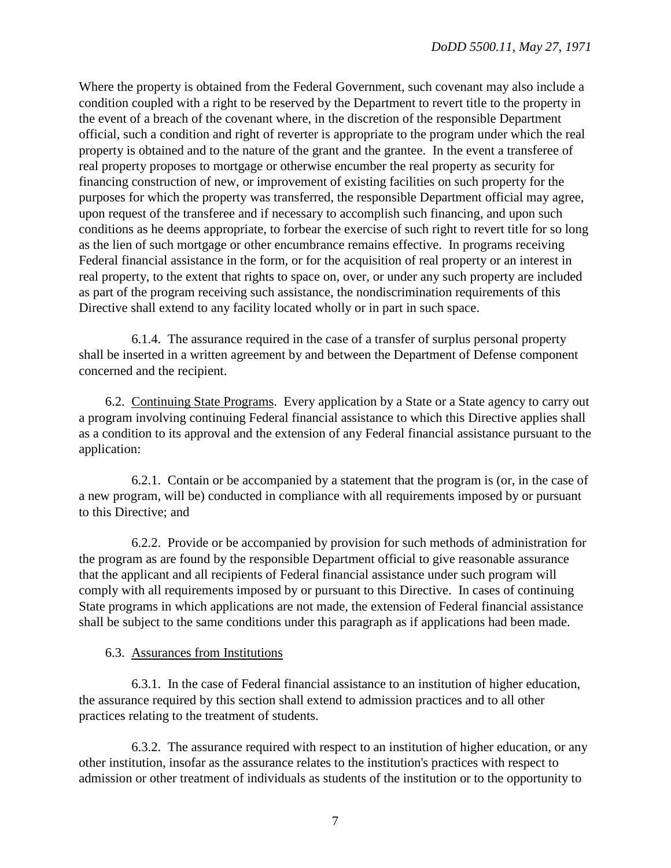Where the property is obtained from the Federal Government, such covenant may also include a condition coupled with a right to be reserved by the Department to revert title to the property in the event of a breach of the covenant where, in the discretion of the responsible Department official, such a condition and right of reverter is appropriate to the program under which the real property is obtained and to the nature of the grant and the grantee. In the event a transferee of real property proposes to mortgage or otherwise encumber the real property as security for financing construction of new, or improvement of existing facilities on such property for the purposes for which the property was transferred, the responsible Department official may agree, upon request of the transferee and if necessary to accomplish such financing, and upon such conditions as he deems appropriate, to forbear the exercise of such right to revert title for so long as the lien of such mortgage or other encumbrance remains effective. In programs receiving Federal financial assistance in the form, or for the acquisition of real property or an interest in real property, to the extent that rights to space on, over, or under any such property are included as part of the program receiving such assistance, the nondiscrimination requirements of this Directive shall extend to any facility located wholly or in part in such space.

6.1.4. The assurance required in the case of a transfer of surplus personal property shall be inserted in a written agreement by and between the Department of Defense component concerned and the recipient.

6.2. Continuing State Programs. Every application by a State or a State agency to carry out a program involving continuing Federal financial assistance to which this Directive applies shall as a condition to its approval and the extension of any Federal financial assistance pursuant to the application:

6.2.1. Contain or be accompanied by a statement that the program is (or, in the case of a new program, will be) conducted in compliance with all requirements imposed by or pursuant to this Directive; and

6.2.2. Provide or be accompanied by provision for such methods of administration for the program as are found by the responsible Department official to give reasonable assurance that the applicant and all recipients of Federal financial assistance under such program will comply with all requirements imposed by or pursuant to this Directive. In cases of continuing State programs in which applications are not made, the extension of Federal financial assistance shall be subject to the same conditions under this paragraph as if applications had been made.

## 6.3. Assurances from Institutions

6.3.1. In the case of Federal financial assistance to an institution of higher education, the assurance required by this section shall extend to admission practices and to all other practices relating to the treatment of students.

6.3.2. The assurance required with respect to an institution of higher education, or any other institution, insofar as the assurance relates to the institution's practices with respect to admission or other treatment of individuals as students of the institution or to the opportunity to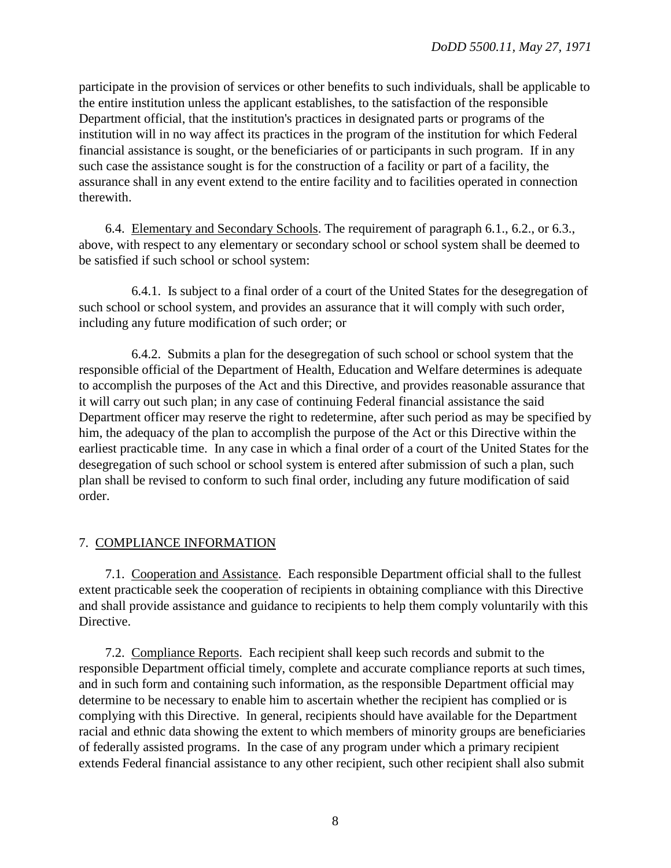participate in the provision of services or other benefits to such individuals, shall be applicable to the entire institution unless the applicant establishes, to the satisfaction of the responsible Department official, that the institution's practices in designated parts or programs of the institution will in no way affect its practices in the program of the institution for which Federal financial assistance is sought, or the beneficiaries of or participants in such program. If in any such case the assistance sought is for the construction of a facility or part of a facility, the assurance shall in any event extend to the entire facility and to facilities operated in connection therewith.

6.4. Elementary and Secondary Schools. The requirement of paragraph 6.1., 6.2., or 6.3., above, with respect to any elementary or secondary school or school system shall be deemed to be satisfied if such school or school system:

6.4.1. Is subject to a final order of a court of the United States for the desegregation of such school or school system, and provides an assurance that it will comply with such order, including any future modification of such order; or

6.4.2. Submits a plan for the desegregation of such school or school system that the responsible official of the Department of Health, Education and Welfare determines is adequate to accomplish the purposes of the Act and this Directive, and provides reasonable assurance that it will carry out such plan; in any case of continuing Federal financial assistance the said Department officer may reserve the right to redetermine, after such period as may be specified by him, the adequacy of the plan to accomplish the purpose of the Act or this Directive within the earliest practicable time. In any case in which a final order of a court of the United States for the desegregation of such school or school system is entered after submission of such a plan, such plan shall be revised to conform to such final order, including any future modification of said order.

## 7. COMPLIANCE INFORMATION

7.1. Cooperation and Assistance. Each responsible Department official shall to the fullest extent practicable seek the cooperation of recipients in obtaining compliance with this Directive and shall provide assistance and guidance to recipients to help them comply voluntarily with this Directive.

7.2. Compliance Reports. Each recipient shall keep such records and submit to the responsible Department official timely, complete and accurate compliance reports at such times, and in such form and containing such information, as the responsible Department official may determine to be necessary to enable him to ascertain whether the recipient has complied or is complying with this Directive. In general, recipients should have available for the Department racial and ethnic data showing the extent to which members of minority groups are beneficiaries of federally assisted programs. In the case of any program under which a primary recipient extends Federal financial assistance to any other recipient, such other recipient shall also submit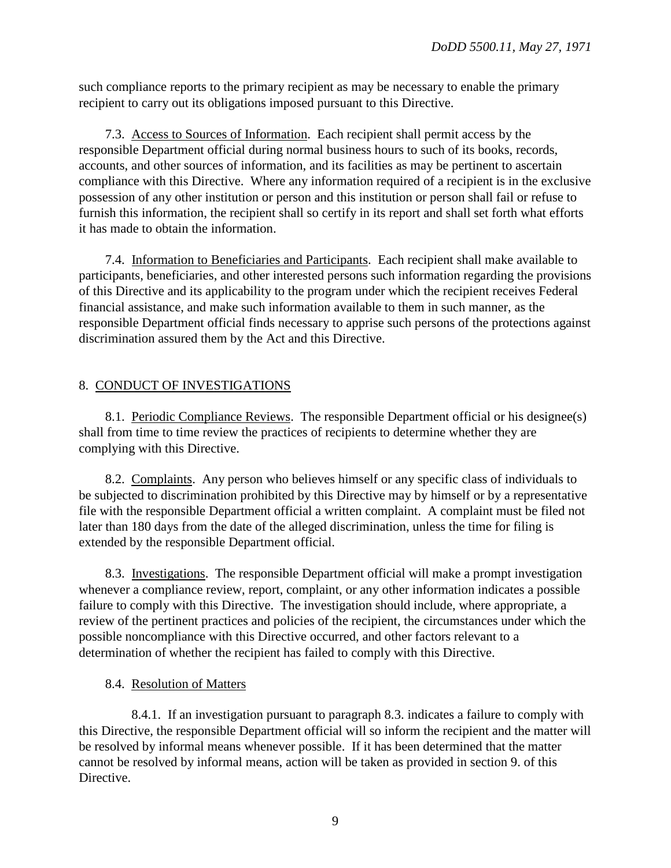such compliance reports to the primary recipient as may be necessary to enable the primary recipient to carry out its obligations imposed pursuant to this Directive.

7.3. Access to Sources of Information. Each recipient shall permit access by the responsible Department official during normal business hours to such of its books, records, accounts, and other sources of information, and its facilities as may be pertinent to ascertain compliance with this Directive. Where any information required of a recipient is in the exclusive possession of any other institution or person and this institution or person shall fail or refuse to furnish this information, the recipient shall so certify in its report and shall set forth what efforts it has made to obtain the information.

7.4. Information to Beneficiaries and Participants. Each recipient shall make available to participants, beneficiaries, and other interested persons such information regarding the provisions of this Directive and its applicability to the program under which the recipient receives Federal financial assistance, and make such information available to them in such manner, as the responsible Department official finds necessary to apprise such persons of the protections against discrimination assured them by the Act and this Directive.

# 8. CONDUCT OF INVESTIGATIONS

8.1. Periodic Compliance Reviews. The responsible Department official or his designee(s) shall from time to time review the practices of recipients to determine whether they are complying with this Directive.

8.2. Complaints. Any person who believes himself or any specific class of individuals to be subjected to discrimination prohibited by this Directive may by himself or by a representative file with the responsible Department official a written complaint. A complaint must be filed not later than 180 days from the date of the alleged discrimination, unless the time for filing is extended by the responsible Department official.

8.3. Investigations. The responsible Department official will make a prompt investigation whenever a compliance review, report, complaint, or any other information indicates a possible failure to comply with this Directive. The investigation should include, where appropriate, a review of the pertinent practices and policies of the recipient, the circumstances under which the possible noncompliance with this Directive occurred, and other factors relevant to a determination of whether the recipient has failed to comply with this Directive.

# 8.4. Resolution of Matters

8.4.1. If an investigation pursuant to paragraph 8.3. indicates a failure to comply with this Directive, the responsible Department official will so inform the recipient and the matter will be resolved by informal means whenever possible. If it has been determined that the matter cannot be resolved by informal means, action will be taken as provided in section 9. of this Directive.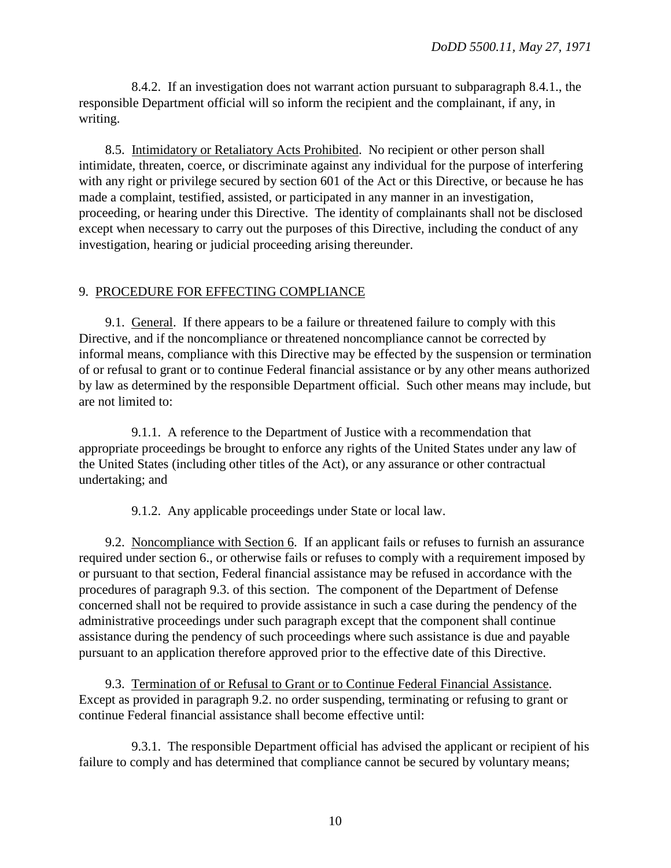8.4.2. If an investigation does not warrant action pursuant to subparagraph 8.4.1., the responsible Department official will so inform the recipient and the complainant, if any, in writing.

8.5. Intimidatory or Retaliatory Acts Prohibited. No recipient or other person shall intimidate, threaten, coerce, or discriminate against any individual for the purpose of interfering with any right or privilege secured by section 601 of the Act or this Directive, or because he has made a complaint, testified, assisted, or participated in any manner in an investigation, proceeding, or hearing under this Directive. The identity of complainants shall not be disclosed except when necessary to carry out the purposes of this Directive, including the conduct of any investigation, hearing or judicial proceeding arising thereunder.

## <span id="page-9-1"></span>9. PROCEDURE FOR EFFECTING COMPLIANCE

9.1. General. If there appears to be a failure or threatened failure to comply with this Directive, and if the noncompliance or threatened noncompliance cannot be corrected by informal means, compliance with this Directive may be effected by the suspension or termination of or refusal to grant or to continue Federal financial assistance or by any other means authorized by law as determined by the responsible Department official. Such other means may include, but are not limited to:

9.1.1. A reference to the Department of Justice with a recommendation that appropriate proceedings be brought to enforce any rights of the United States under any law of the United States (including other titles of the Act), or any assurance or other contractual undertaking; and

9.1.2. Any applicable proceedings under State or local law.

<span id="page-9-0"></span>9.2. Noncompliance with Section 6. If an applicant fails or refuses to furnish an assurance required under section 6., or otherwise fails or refuses to comply with a requirement imposed by or pursuant to that section, Federal financial assistance may be refused in accordance with the procedures of paragraph 9.3. of this section. The component of the Department of Defense concerned shall not be required to provide assistance in such a case during the pendency of the administrative proceedings under such paragraph except that the component shall continue assistance during the pendency of such proceedings where such assistance is due and payable pursuant to an application therefore approved prior to the effective date of this Directive.

9.3. Termination of or Refusal to Grant or to Continue Federal Financial Assistance. Except as provided in [paragraph 9.2.](#page-9-0) no order suspending, terminating or refusing to grant or continue Federal financial assistance shall become effective until:

9.3.1. The responsible Department official has advised the applicant or recipient of his failure to comply and has determined that compliance cannot be secured by voluntary means;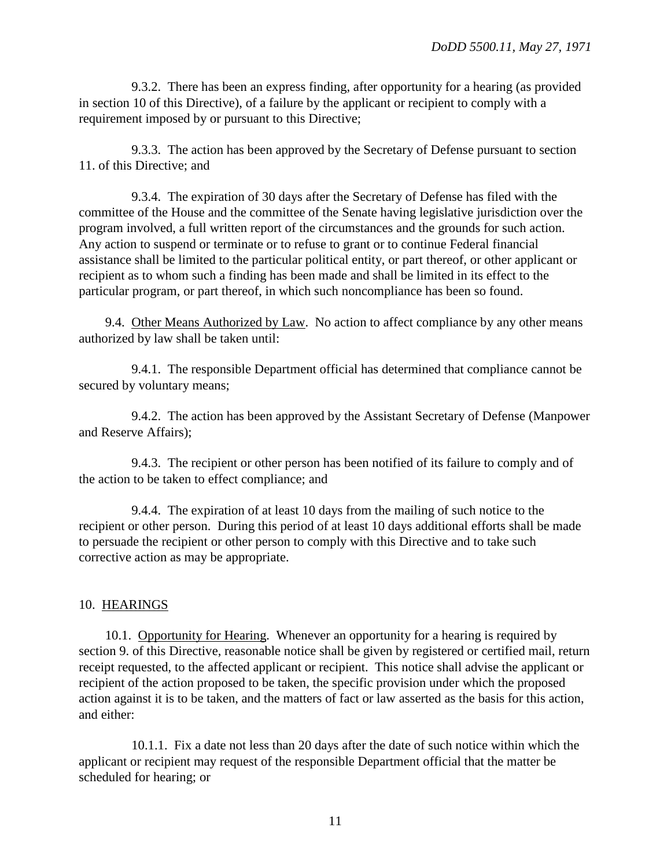9.3.2. There has been an express finding, after opportunity for a hearing (as provided in section 10 of this Directive), of a failure by the applicant or recipient to comply with a requirement imposed by or pursuant to this Directive;

9.3.3. The action has been approved by the Secretary of Defense pursuant to section 11. of this Directive; and

9.3.4. The expiration of 30 days after the Secretary of Defense has filed with the committee of the House and the committee of the Senate having legislative jurisdiction over the program involved, a full written report of the circumstances and the grounds for such action. Any action to suspend or terminate or to refuse to grant or to continue Federal financial assistance shall be limited to the particular political entity, or part thereof, or other applicant or recipient as to whom such a finding has been made and shall be limited in its effect to the particular program, or part thereof, in which such noncompliance has been so found.

9.4. Other Means Authorized by Law. No action to affect compliance by any other means authorized by law shall be taken until:

9.4.1. The responsible Department official has determined that compliance cannot be secured by voluntary means;

9.4.2. The action has been approved by the Assistant Secretary of Defense (Manpower and Reserve Affairs);

9.4.3. The recipient or other person has been notified of its failure to comply and of the action to be taken to effect compliance; and

9.4.4. The expiration of at least 10 days from the mailing of such notice to the recipient or other person. During this period of at least 10 days additional efforts shall be made to persuade the recipient or other person to comply with this Directive and to take such corrective action as may be appropriate.

## 10. HEARINGS

<span id="page-10-0"></span>10.1. Opportunity for Hearing. Whenever an opportunity for a hearing is required by [section 9.](#page-9-1) of this Directive, reasonable notice shall be given by registered or certified mail, return receipt requested, to the affected applicant or recipient. This notice shall advise the applicant or recipient of the action proposed to be taken, the specific provision under which the proposed action against it is to be taken, and the matters of fact or law asserted as the basis for this action, and either:

10.1.1. Fix a date not less than 20 days after the date of such notice within which the applicant or recipient may request of the responsible Department official that the matter be scheduled for hearing; or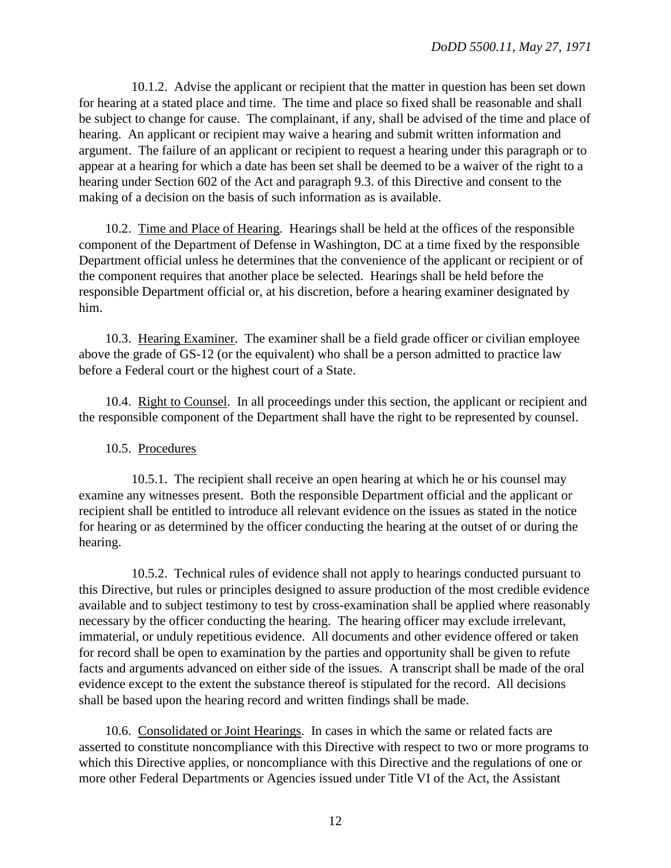10.1.2. Advise the applicant or recipient that the matter in question has been set down for hearing at a stated place and time. The time and place so fixed shall be reasonable and shall be subject to change for cause. The complainant, if any, shall be advised of the time and place of hearing. An applicant or recipient may waive a hearing and submit written information and argument. The failure of an applicant or recipient to request a hearing under this paragraph or to appear at a hearing for which a date has been set shall be deemed to be a waiver of the right to a hearing under Section 602 of the Act and paragraph 9.3. of this Directive and consent to the making of a decision on the basis of such information as is available.

10.2. Time and Place of Hearing. Hearings shall be held at the offices of the responsible component of the Department of Defense in Washington, DC at a time fixed by the responsible Department official unless he determines that the convenience of the applicant or recipient or of the component requires that another place be selected. Hearings shall be held before the responsible Department official or, at his discretion, before a hearing examiner designated by him.

10.3. Hearing Examiner. The examiner shall be a field grade officer or civilian employee above the grade of GS-12 (or the equivalent) who shall be a person admitted to practice law before a Federal court or the highest court of a State.

10.4. Right to Counsel. In all proceedings under this section, the applicant or recipient and the responsible component of the Department shall have the right to be represented by counsel.

#### 10.5. Procedures

10.5.1. The recipient shall receive an open hearing at which he or his counsel may examine any witnesses present. Both the responsible Department official and the applicant or recipient shall be entitled to introduce all relevant evidence on the issues as stated in the notice for hearing or as determined by the officer conducting the hearing at the outset of or during the hearing.

10.5.2. Technical rules of evidence shall not apply to hearings conducted pursuant to this Directive, but rules or principles designed to assure production of the most credible evidence available and to subject testimony to test by cross-examination shall be applied where reasonably necessary by the officer conducting the hearing. The hearing officer may exclude irrelevant, immaterial, or unduly repetitious evidence. All documents and other evidence offered or taken for record shall be open to examination by the parties and opportunity shall be given to refute facts and arguments advanced on either side of the issues. A transcript shall be made of the oral evidence except to the extent the substance thereof is stipulated for the record. All decisions shall be based upon the hearing record and written findings shall be made.

10.6. Consolidated or Joint Hearings. In cases in which the same or related facts are asserted to constitute noncompliance with this Directive with respect to two or more programs to which this Directive applies, or noncompliance with this Directive and the regulations of one or more other Federal Departments or Agencies issued under Title VI of the Act, the Assistant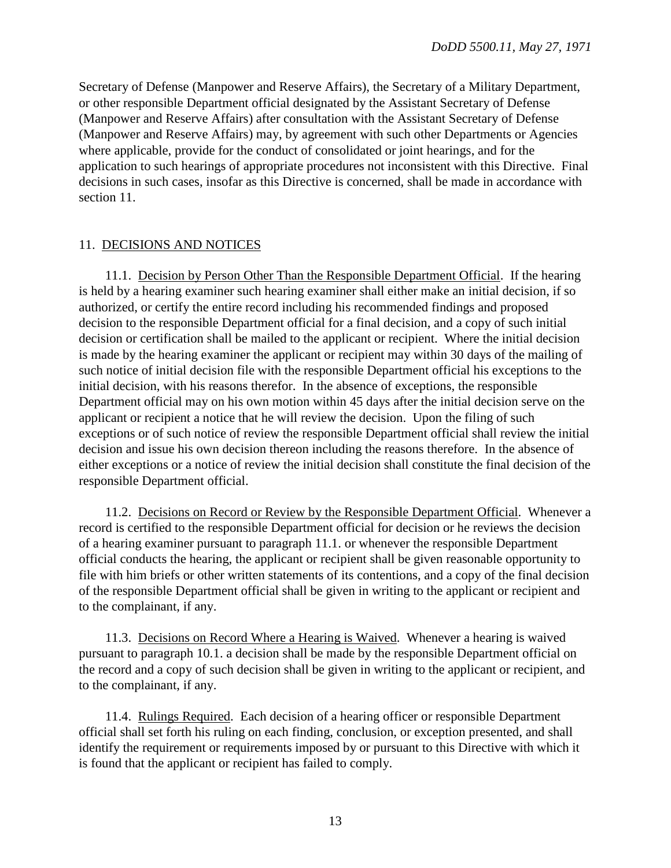Secretary of Defense (Manpower and Reserve Affairs), the Secretary of a Military Department, or other responsible Department official designated by the Assistant Secretary of Defense (Manpower and Reserve Affairs) after consultation with the Assistant Secretary of Defense (Manpower and Reserve Affairs) may, by agreement with such other Departments or Agencies where applicable, provide for the conduct of consolidated or joint hearings, and for the application to such hearings of appropriate procedures not inconsistent with this Directive. Final decisions in such cases, insofar as this Directive is concerned, shall be made in accordance with section 11.

## 11. DECISIONS AND NOTICES

11.1. Decision by Person Other Than the Responsible Department Official. If the hearing is held by a hearing examiner such hearing examiner shall either make an initial decision, if so authorized, or certify the entire record including his recommended findings and proposed decision to the responsible Department official for a final decision, and a copy of such initial decision or certification shall be mailed to the applicant or recipient. Where the initial decision is made by the hearing examiner the applicant or recipient may within 30 days of the mailing of such notice of initial decision file with the responsible Department official his exceptions to the initial decision, with his reasons therefor. In the absence of exceptions, the responsible Department official may on his own motion within 45 days after the initial decision serve on the applicant or recipient a notice that he will review the decision. Upon the filing of such exceptions or of such notice of review the responsible Department official shall review the initial decision and issue his own decision thereon including the reasons therefore. In the absence of either exceptions or a notice of review the initial decision shall constitute the final decision of the responsible Department official.

11.2. Decisions on Record or Review by the Responsible Department Official. Whenever a record is certified to the responsible Department official for decision or he reviews the decision of a hearing examiner pursuant to paragraph 11.1. or whenever the responsible Department official conducts the hearing, the applicant or recipient shall be given reasonable opportunity to file with him briefs or other written statements of its contentions, and a copy of the final decision of the responsible Department official shall be given in writing to the applicant or recipient and to the complainant, if any.

11.3. Decisions on Record Where a Hearing is Waived. Whenever a hearing is waived pursuant to [paragraph 10.1.](#page-10-0) a decision shall be made by the responsible Department official on the record and a copy of such decision shall be given in writing to the applicant or recipient, and to the complainant, if any.

11.4. Rulings Required. Each decision of a hearing officer or responsible Department official shall set forth his ruling on each finding, conclusion, or exception presented, and shall identify the requirement or requirements imposed by or pursuant to this Directive with which it is found that the applicant or recipient has failed to comply.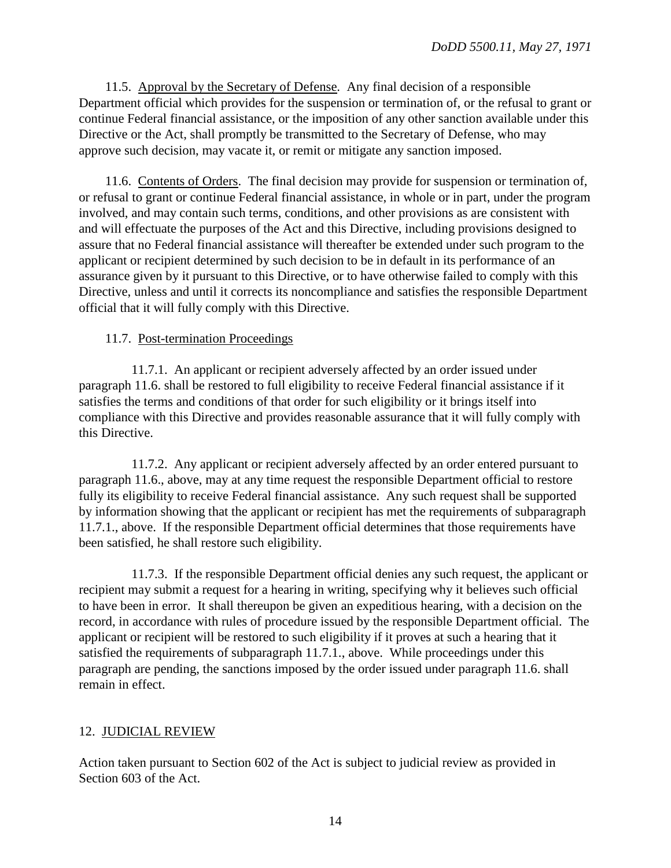11.5. Approval by the Secretary of Defense. Any final decision of a responsible Department official which provides for the suspension or termination of, or the refusal to grant or continue Federal financial assistance, or the imposition of any other sanction available under this Directive or the Act, shall promptly be transmitted to the Secretary of Defense, who may approve such decision, may vacate it, or remit or mitigate any sanction imposed.

11.6. Contents of Orders. The final decision may provide for suspension or termination of, or refusal to grant or continue Federal financial assistance, in whole or in part, under the program involved, and may contain such terms, conditions, and other provisions as are consistent with and will effectuate the purposes of the Act and this Directive, including provisions designed to assure that no Federal financial assistance will thereafter be extended under such program to the applicant or recipient determined by such decision to be in default in its performance of an assurance given by it pursuant to this Directive, or to have otherwise failed to comply with this Directive, unless and until it corrects its noncompliance and satisfies the responsible Department official that it will fully comply with this Directive.

## 11.7. Post-termination Proceedings

11.7.1. An applicant or recipient adversely affected by an order issued under paragraph 11.6. shall be restored to full eligibility to receive Federal financial assistance if it satisfies the terms and conditions of that order for such eligibility or it brings itself into compliance with this Directive and provides reasonable assurance that it will fully comply with this Directive.

11.7.2. Any applicant or recipient adversely affected by an order entered pursuant to paragraph 11.6., above, may at any time request the responsible Department official to restore fully its eligibility to receive Federal financial assistance. Any such request shall be supported by information showing that the applicant or recipient has met the requirements of subparagraph 11.7.1., above. If the responsible Department official determines that those requirements have been satisfied, he shall restore such eligibility.

11.7.3. If the responsible Department official denies any such request, the applicant or recipient may submit a request for a hearing in writing, specifying why it believes such official to have been in error. It shall thereupon be given an expeditious hearing, with a decision on the record, in accordance with rules of procedure issued by the responsible Department official. The applicant or recipient will be restored to such eligibility if it proves at such a hearing that it satisfied the requirements of subparagraph 11.7.1., above. While proceedings under this paragraph are pending, the sanctions imposed by the order issued under paragraph 11.6. shall remain in effect.

# 12. JUDICIAL REVIEW

Action taken pursuant to Section 602 of the Act is subject to judicial review as provided in Section 603 of the Act.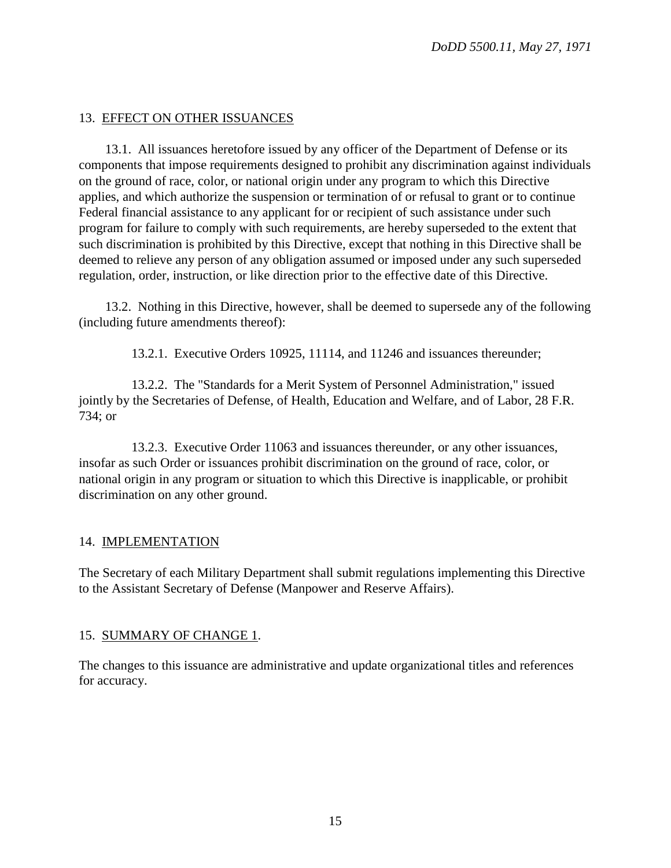## 13. EFFECT ON OTHER ISSUANCES

13.1. All issuances heretofore issued by any officer of the Department of Defense or its components that impose requirements designed to prohibit any discrimination against individuals on the ground of race, color, or national origin under any program to which this Directive applies, and which authorize the suspension or termination of or refusal to grant or to continue Federal financial assistance to any applicant for or recipient of such assistance under such program for failure to comply with such requirements, are hereby superseded to the extent that such discrimination is prohibited by this Directive, except that nothing in this Directive shall be deemed to relieve any person of any obligation assumed or imposed under any such superseded regulation, order, instruction, or like direction prior to the effective date of this Directive.

13.2. Nothing in this Directive, however, shall be deemed to supersede any of the following (including future amendments thereof):

13.2.1. Executive Orders 10925, 11114, and 11246 and issuances thereunder;

13.2.2. The "Standards for a Merit System of Personnel Administration," issued jointly by the Secretaries of Defense, of Health, Education and Welfare, and of Labor, 28 F.R. 734; or

13.2.3. Executive Order 11063 and issuances thereunder, or any other issuances, insofar as such Order or issuances prohibit discrimination on the ground of race, color, or national origin in any program or situation to which this Directive is inapplicable, or prohibit discrimination on any other ground.

## 14. IMPLEMENTATION

The Secretary of each Military Department shall submit regulations implementing this Directive to the Assistant Secretary of Defense (Manpower and Reserve Affairs).

## 15. SUMMARY OF CHANGE 1.

The changes to this issuance are administrative and update organizational titles and references for accuracy.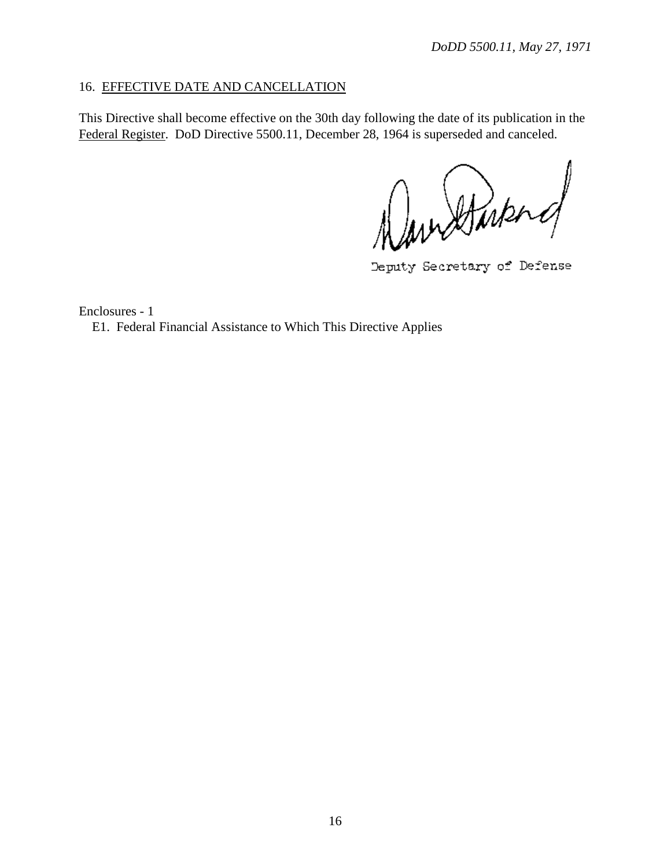## 16. EFFECTIVE DATE AND CANCELLATION

This Directive shall become effective on the 30th day following the date of its publication in the Federal Register. DoD Directive 5500.11, December 28, 1964 is superseded and canceled.

Navidand

Deputy Secretary of Defense

Enclosures - 1

E1. Federal Financial Assistance to Which This Directive Applies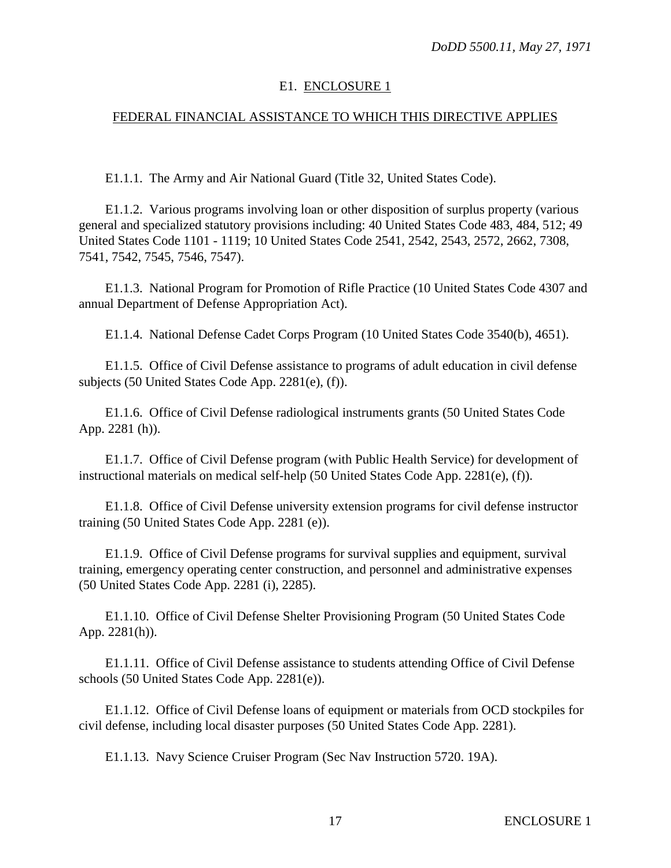#### E1. ENCLOSURE 1

## FEDERAL FINANCIAL ASSISTANCE TO WHICH THIS DIRECTIVE APPLIES

E1.1.1. The Army and Air National Guard (Title 32, United States Code).

E1.1.2. Various programs involving loan or other disposition of surplus property (various general and specialized statutory provisions including: 40 United States Code 483, 484, 512; 49 United States Code 1101 - 1119; 10 United States Code 2541, 2542, 2543, 2572, 2662, 7308, 7541, 7542, 7545, 7546, 7547).

E1.1.3. National Program for Promotion of Rifle Practice (10 United States Code 4307 and annual Department of Defense Appropriation Act).

E1.1.4. National Defense Cadet Corps Program (10 United States Code 3540(b), 4651).

E1.1.5. Office of Civil Defense assistance to programs of adult education in civil defense subjects (50 United States Code App. 2281(e), (f)).

E1.1.6. Office of Civil Defense radiological instruments grants (50 United States Code App. 2281 (h)).

E1.1.7. Office of Civil Defense program (with Public Health Service) for development of instructional materials on medical self-help (50 United States Code App. 2281(e), (f)).

E1.1.8. Office of Civil Defense university extension programs for civil defense instructor training (50 United States Code App. 2281 (e)).

E1.1.9. Office of Civil Defense programs for survival supplies and equipment, survival training, emergency operating center construction, and personnel and administrative expenses (50 United States Code App. 2281 (i), 2285).

E1.1.10. Office of Civil Defense Shelter Provisioning Program (50 United States Code App. 2281(h)).

E1.1.11. Office of Civil Defense assistance to students attending Office of Civil Defense schools (50 United States Code App. 2281(e)).

E1.1.12. Office of Civil Defense loans of equipment or materials from OCD stockpiles for civil defense, including local disaster purposes (50 United States Code App. 2281).

E1.1.13. Navy Science Cruiser Program (Sec Nav Instruction 5720. 19A).